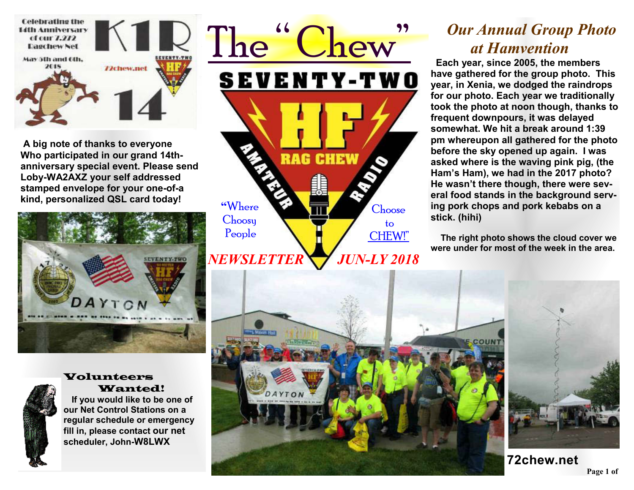

**A big note of thanks to everyone Who participated in our grand 14thanniversary special event. Please send Loby-WA2AXZ your self addressed stamped envelope for your one-of-a kind, personalized QSL card today!** 





#### Volunteers Wanted!

 **If you would like to be one of our Net Control Stations on a regular schedule or emergency fill in, please contact our net scheduler, John-W8LWX** 



## *Our Annual Group Photo at Hamvention*

 **Each year, since 2005, the members have gathered for the group photo. This year, in Xenia, we dodged the raindrops for our photo. Each year we traditionally took the photo at noon though, thanks to frequent downpours, it was delayed somewhat. We hit a break around 1:39 pm whereupon all gathered for the photo before the sky opened up again. I was asked where is the waving pink pig, (the Ham's Ham), we had in the 2017 photo? He wasn't there though, there were several food stands in the background serving pork chops and pork kebabs on a stick. (hihi)**

 **The right photo shows the cloud cover we were under for most of the week in the area.**



**Page 1 of 2**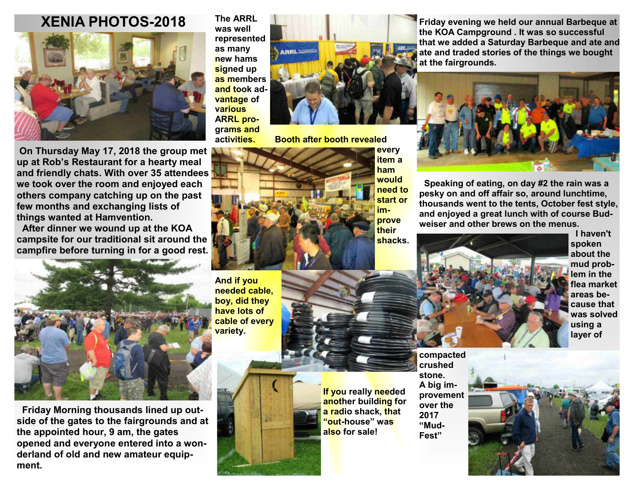#### **XENIA PHOTOS-2018**



 **On Thursday May 17, 2018 the group met up at Rob's Restaurant for a hearty meal and friendly chats. With over 35 attendees we took over the room and enjoyed each others company catching up on the past few months and exchanging lists of things wanted at Hamvention.** 

**After dinner we wound up at the KOA campsite for our traditional sit around the campfire before turning in for a good rest.** 



 **Friday Morning thousands lined up outside of the gates to the fairgrounds and at the appointed hour, 9 am, the gates opened and everyone entered into a wonderland of old and new amateur equipment.** 

**The ARRL was well represented as many new hams signed up as members and took advantage of various ARRL programs and** 



**activities. Booth after booth revealed** 



**And if you needed cable, boy, did they have lots of cable of every variety.** 



**If you really needed another building for a radio shack, that "out-house" was also for sale!** 

**crushed stone. A big improvement over the 2017 "Mud-Fest"** 

**Friday evening we held our annual Barbeque at the KOA Campground . It was so successful that we added a Saturday Barbeque and ate and ate and traded stories of the things we bought at the fairgrounds.** 



 **Speaking of eating, on day #2 the rain was a pesky on and off affair so, around lunchtime, thousands went to the tents, October fest style, and enjoyed a great lunch with of course Budweiser and other brews on the menus.** 



**I haven't spoken about the mud problem in the flea market areas because that was solved using a layer of**